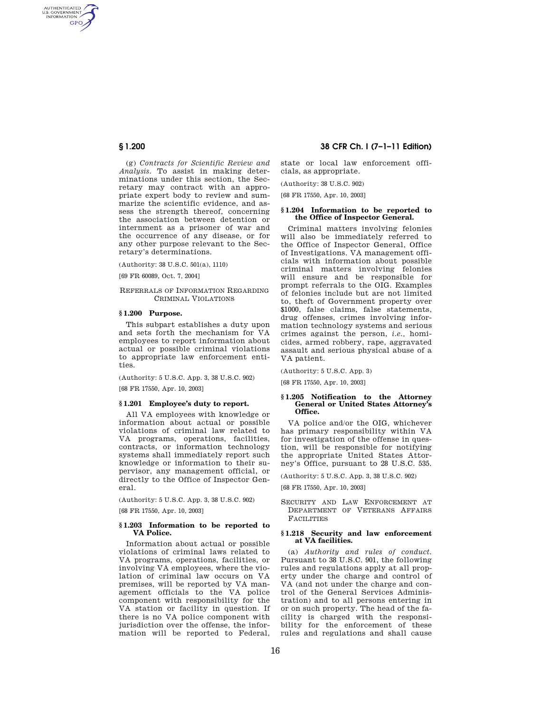AUTHENTICATED<br>U.S. GOVERNMENT<br>INFORMATION **GPO** 

> (g) *Contracts for Scientific Review and Analysis.* To assist in making determinations under this section, the Secretary may contract with an appropriate expert body to review and summarize the scientific evidence, and assess the strength thereof, concerning the association between detention or internment as a prisoner of war and the occurrence of any disease, or for any other purpose relevant to the Secretary's determinations.

(Authority: 38 U.S.C. 501(a), 1110)

[69 FR 60089, Oct. 7, 2004]

## REFERRALS OF INFORMATION REGARDING CRIMINAL VIOLATIONS

## **§ 1.200 Purpose.**

This subpart establishes a duty upon and sets forth the mechanism for VA employees to report information about actual or possible criminal violations to appropriate law enforcement entities.

(Authority: 5 U.S.C. App. 3, 38 U.S.C. 902)

[68 FR 17550, Apr. 10, 2003]

#### **§ 1.201 Employee's duty to report.**

All VA employees with knowledge or information about actual or possible violations of criminal law related to VA programs, operations, facilities, contracts, or information technology systems shall immediately report such knowledge or information to their supervisor, any management official, or directly to the Office of Inspector General.

(Authority: 5 U.S.C. App. 3, 38 U.S.C. 902)

[68 FR 17550, Apr. 10, 2003]

## **§ 1.203 Information to be reported to VA Police.**

Information about actual or possible violations of criminal laws related to VA programs, operations, facilities, or involving VA employees, where the violation of criminal law occurs on VA premises, will be reported by VA management officials to the VA police component with responsibility for the VA station or facility in question. If there is no VA police component with jurisdiction over the offense, the information will be reported to Federal,

**§ 1.200 38 CFR Ch. I (7–1–11 Edition)** 

state or local law enforcement officials, as appropriate.

(Authority: 38 U.S.C. 902)

[68 FR 17550, Apr. 10, 2003]

## **§ 1.204 Information to be reported to the Office of Inspector General.**

Criminal matters involving felonies will also be immediately referred to the Office of Inspector General, Office of Investigations. VA management officials with information about possible criminal matters involving felonies will ensure and be responsible for prompt referrals to the OIG. Examples of felonies include but are not limited to, theft of Government property over \$1000, false claims, false statements, drug offenses, crimes involving information technology systems and serious crimes against the person, *i.e.,* homicides, armed robbery, rape, aggravated assault and serious physical abuse of a VA patient.

(Authority: 5 U.S.C. App. 3)

[68 FR 17550, Apr. 10, 2003]

#### **§ 1.205 Notification to the Attorney General or United States Attorney's Office.**

VA police and/or the OIG, whichever has primary responsibility within VA for investigation of the offense in question, will be responsible for notifying the appropriate United States Attorney's Office, pursuant to 28 U.S.C. 535.

(Authority: 5 U.S.C. App. 3, 38 U.S.C. 902)

[68 FR 17550, Apr. 10, 2003]

SECURITY AND LAW ENFORCEMENT AT DEPARTMENT OF VETERANS AFFAIRS FACILITIES

## **§ 1.218 Security and law enforcement at VA facilities.**

(a) *Authority and rules of conduct.*  Pursuant to 38 U.S.C. 901, the following rules and regulations apply at all property under the charge and control of VA (and not under the charge and control of the General Services Administration) and to all persons entering in or on such property. The head of the facility is charged with the responsibility for the enforcement of these rules and regulations and shall cause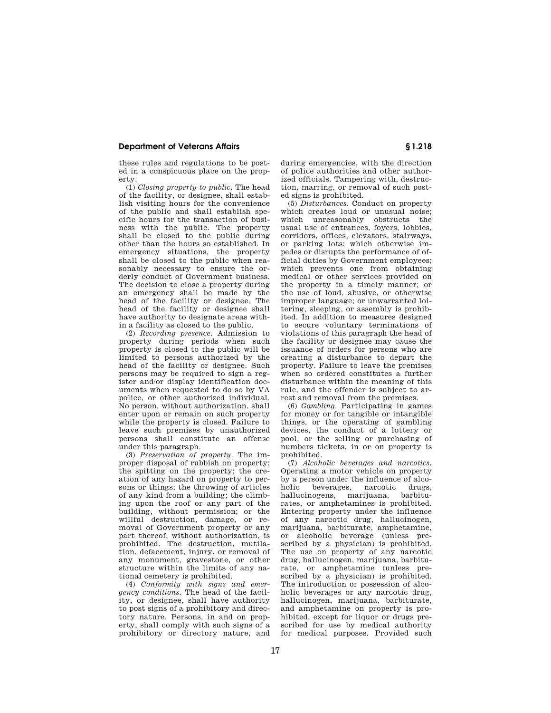# **Department of Veterans Affairs § 1.218**

these rules and regulations to be posted in a conspicuous place on the property.

(1) *Closing property to public.* The head of the facility, or designee, shall establish visiting hours for the convenience of the public and shall establish specific hours for the transaction of business with the public. The property shall be closed to the public during other than the hours so established. In emergency situations, the property shall be closed to the public when reasonably necessary to ensure the orderly conduct of Government business. The decision to close a property during an emergency shall be made by the head of the facility or designee. The head of the facility or designee shall have authority to designate areas within a facility as closed to the public.

(2) *Recording presence.* Admission to property during periods when such property is closed to the public will be limited to persons authorized by the head of the facility or designee. Such persons may be required to sign a register and/or display identification documents when requested to do so by VA police, or other authorized individual. No person, without authorization, shall enter upon or remain on such property while the property is closed. Failure to leave such premises by unauthorized persons shall constitute an offense under this paragraph.

(3) *Preservation of property.* The improper disposal of rubbish on property; the spitting on the property; the creation of any hazard on property to persons or things; the throwing of articles of any kind from a building; the climbing upon the roof or any part of the building, without permission; or the willful destruction, damage, or removal of Government property or any part thereof, without authorization, is prohibited. The destruction, mutilation, defacement, injury, or removal of any monument, gravestone, or other structure within the limits of any national cemetery is prohibited.

(4) *Conformity with signs and emergency conditions.* The head of the facility, or designee, shall have authority to post signs of a prohibitory and directory nature. Persons, in and on property, shall comply with such signs of a prohibitory or directory nature, and during emergencies, with the direction of police authorities and other authorized officials. Tampering with, destruction, marring, or removal of such posted signs is prohibited.

(5) *Disturbances.* Conduct on property which creates loud or unusual noise; which unreasonably obstructs the usual use of entrances, foyers, lobbies, corridors, offices, elevators, stairways, or parking lots; which otherwise impedes or disrupts the performance of official duties by Government employees; which prevents one from obtaining medical or other services provided on the property in a timely manner; or the use of loud, abusive, or otherwise improper language; or unwarranted loitering, sleeping, or assembly is prohibited. In addition to measures designed to secure voluntary terminations of violations of this paragraph the head of the facility or designee may cause the issuance of orders for persons who are creating a disturbance to depart the property. Failure to leave the premises when so ordered constitutes a further disturbance within the meaning of this rule, and the offender is subject to arrest and removal from the premises.

(6) *Gambling.* Participating in games for money or for tangible or intangible things, or the operating of gambling devices, the conduct of a lottery or pool, or the selling or purchasing of numbers tickets, in or on property is prohibited.

(7) *Alcoholic beverages and narcotics.*  Operating a motor vehicle on property by a person under the influence of alcoholic beverages, narcotic drugs, hallucinogens, marijuana, barbiturates, or amphetamines is prohibited. Entering property under the influence of any narcotic drug, hallucinogen, marijuana, barbiturate, amphetamine, or alcoholic beverage (unless prescribed by a physician) is prohibited. The use on property of any narcotic drug, hallucinogen, marijuana, barbiturate, or amphetamine (unless prescribed by a physician) is prohibited. The introduction or possession of alcoholic beverages or any narcotic drug, hallucinogen, marijuana, barbiturate, and amphetamine on property is prohibited, except for liquor or drugs prescribed for use by medical authority for medical purposes. Provided such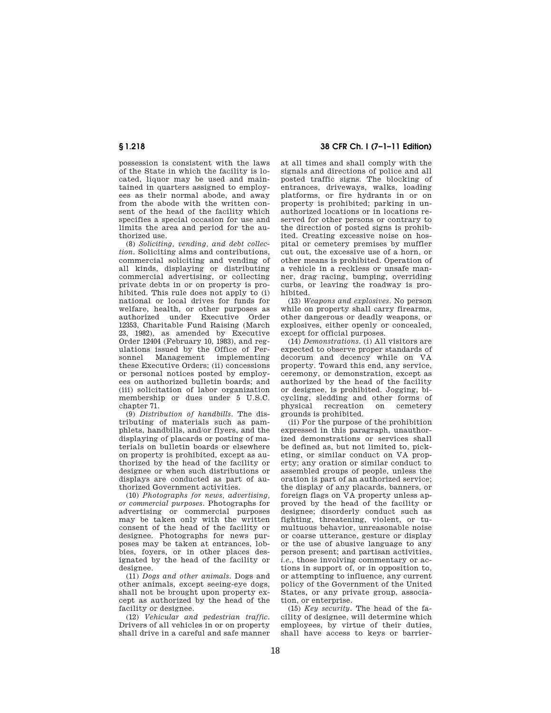possession is consistent with the laws of the State in which the facility is located, liquor may be used and maintained in quarters assigned to employees as their normal abode, and away from the abode with the written consent of the head of the facility which specifies a special occasion for use and limits the area and period for the authorized use.

(8) *Soliciting, vending, and debt collection.* Soliciting alms and contributions, commercial soliciting and vending of all kinds, displaying or distributing commercial advertising, or collecting private debts in or on property is prohibited. This rule does not apply to (i) national or local drives for funds for welfare, health, or other purposes as authorized under Executive Order 12353, Charitable Fund Raising (March 23, 1982), as amended by Executive Order 12404 (February 10, 1983), and regulations issued by the Office of Per-<br>sonnel Management implementing Management implementing these Executive Orders; (ii) concessions or personal notices posted by employees on authorized bulletin boards; and (iii) solicitation of labor organization membership or dues under 5 U.S.C. chapter 71.

(9) *Distribution of handbills.* The distributing of materials such as pamphlets, handbills, and/or flyers, and the displaying of placards or posting of materials on bulletin boards or elsewhere on property is prohibited, except as authorized by the head of the facility or designee or when such distributions or displays are conducted as part of authorized Government activities.

(10) *Photographs for news, advertising, or commercial purposes.* Photographs for advertising or commercial purposes may be taken only with the written consent of the head of the facility or designee. Photographs for news purposes may be taken at entrances, lobbies, foyers, or in other places designated by the head of the facility or designee.

(11) *Dogs and other animals.* Dogs and other animals, except seeing-eye dogs, shall not be brought upon property except as authorized by the head of the facility or designee.

(12) *Vehicular and pedestrian traffic.*  Drivers of all vehicles in or on property shall drive in a careful and safe manner

**§ 1.218 38 CFR Ch. I (7–1–11 Edition)** 

at all times and shall comply with the signals and directions of police and all posted traffic signs. The blocking of entrances, driveways, walks, loading platforms, or fire hydrants in or on property is prohibited; parking in unauthorized locations or in locations reserved for other persons or contrary to the direction of posted signs is prohibited. Creating excessive noise on hospital or cemetery premises by muffler cut out, the excessive use of a horn, or other means is prohibited. Operation of a vehicle in a reckless or unsafe manner, drag racing, bumping, overriding curbs, or leaving the roadway is prohibited.

(13) *Weapons and explosives.* No person while on property shall carry firearms, other dangerous or deadly weapons, or explosives, either openly or concealed, except for official purposes.

(14) *Demonstrations.* (i) All visitors are expected to observe proper standards of decorum and decency while on VA property. Toward this end, any service, ceremony, or demonstration, except as authorized by the head of the facility or designee, is prohibited. Jogging, bicycling, sledding and other forms of physical recreation on cemetery grounds is prohibited.

(ii) For the purpose of the prohibition expressed in this paragraph, unauthorized demonstrations or services shall be defined as, but not limited to, picketing, or similar conduct on  $V_A$  property; any oration or similar conduct to assembled groups of people, unless the oration is part of an authorized service; the display of any placards, banners, or foreign flags on VA property unless approved by the head of the facility or designee; disorderly conduct such as fighting, threatening, violent, or tumultuous behavior, unreasonable noise or coarse utterance, gesture or display or the use of abusive language to any person present; and partisan activities, *i.e.*, those involving commentary or actions in support of, or in opposition to, or attempting to influence, any current policy of the Government of the United States, or any private group, association, or enterprise.

(15) *Key security.* The head of the facility of designee, will determine which employees, by virtue of their duties, shall have access to keys or barrier-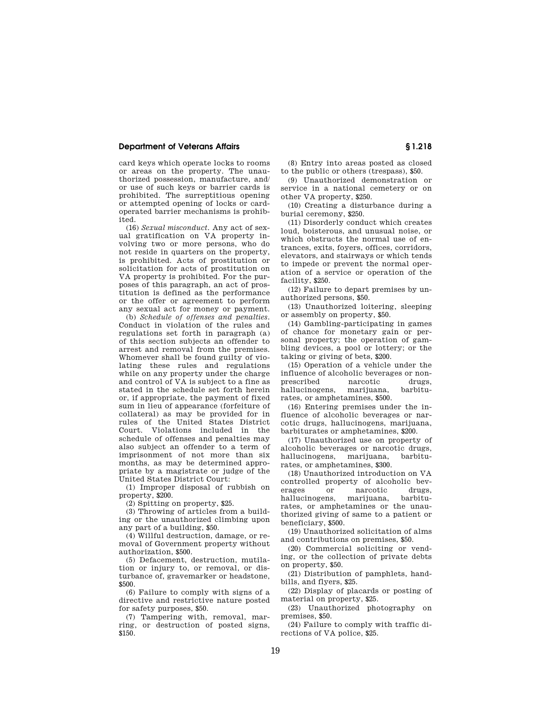## **Department of Veterans Affairs § 1.218**

card keys which operate locks to rooms or areas on the property. The unauthorized possession, manufacture, and/ or use of such keys or barrier cards is prohibited. The surreptitious opening or attempted opening of locks or cardoperated barrier mechanisms is prohibited.

(16) *Sexual misconduct.* Any act of sexual gratification on VA property involving two or more persons, who do not reside in quarters on the property, is prohibited. Acts of prostitution or solicitation for acts of prostitution on VA property is prohibited. For the purposes of this paragraph, an act of prostitution is defined as the performance or the offer or agreement to perform any sexual act for money or payment.

(b) *Schedule of offenses and penalties.*  Conduct in violation of the rules and regulations set forth in paragraph (a) of this section subjects an offender to arrest and removal from the premises. Whomever shall be found guilty of violating these rules and regulations while on any property under the charge and control of VA is subject to a fine as stated in the schedule set forth herein or, if appropriate, the payment of fixed sum in lieu of appearance (forfeiture of collateral) as may be provided for in rules of the United States District Court. Violations included in the schedule of offenses and penalties may also subject an offender to a term of imprisonment of not more than six months, as may be determined appropriate by a magistrate or judge of the United States District Court:

(1) Improper disposal of rubbish on property, \$200.

(2) Spitting on property, \$25.

(3) Throwing of articles from a building or the unauthorized climbing upon any part of a building, \$50.

(4) Willful destruction, damage, or removal of Government property without authorization, \$500.

(5) Defacement, destruction, mutilation or injury to, or removal, or disturbance of, gravemarker or headstone, \$500.

(6) Failure to comply with signs of a directive and restrictive nature posted for safety purposes, \$50.

(7) Tampering with, removal, marring, or destruction of posted signs, \$150.

(8) Entry into areas posted as closed to the public or others (trespass), \$50.

(9) Unauthorized demonstration or service in a national cemetery or on other VA property, \$250.

(10) Creating a disturbance during a burial ceremony, \$250.

(11) Disorderly conduct which creates loud, boisterous, and unusual noise, or which obstructs the normal use of entrances, exits, foyers, offices, corridors, elevators, and stairways or which tends to impede or prevent the normal operation of a service or operation of the facility, \$250.

(12) Failure to depart premises by unauthorized persons, \$50.

(13) Unauthorized loitering, sleeping or assembly on property, \$50.

(14) Gambling-participating in games of chance for monetary gain or personal property; the operation of gambling devices, a pool or lottery; or the taking or giving of bets, \$200.

(15) Operation of a vehicle under the influence of alcoholic beverages or nonprescribed narcotic drugs, hallucinogens, marijuana, barbiturates, or amphetamines, \$500.

(16) Entering premises under the influence of alcoholic beverages or narcotic drugs, hallucinogens, marijuana, barbiturates or amphetamines, \$200.

(17) Unauthorized use on property of alcoholic beverages or narcotic drugs, hallucinogens, marijuana, barbiturates, or amphetamines, \$300.

(18) Unauthorized introduction on VA controlled property of alcoholic bev-<br>erages or narcotic drugs. narcotic hallucinogens, marijuana, barbiturates, or amphetamines or the unauthorized giving of same to a patient or beneficiary, \$500.

(19) Unauthorized solicitation of alms and contributions on premises, \$50.

(20) Commercial soliciting or vending, or the collection of private debts on property, \$50.

(21) Distribution of pamphlets, handbills, and flyers, \$25.

(22) Display of placards or posting of material on property, \$25.

(23) Unauthorized photography on premises, \$50.

(24) Failure to comply with traffic directions of VA police, \$25.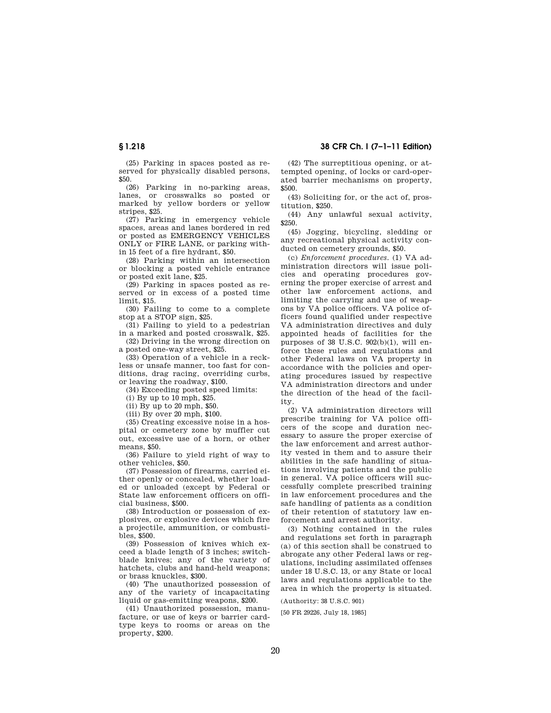(25) Parking in spaces posted as reserved for physically disabled persons, \$50.

(26) Parking in no-parking areas, lanes, or crosswalks so posted or marked by yellow borders or yellow stripes, \$25.

(27) Parking in emergency vehicle spaces, areas and lanes bordered in red or posted as EMERGENCY VEHICLES ONLY or FIRE LANE, or parking within 15 feet of a fire hydrant, \$50.

(28) Parking within an intersection or blocking a posted vehicle entrance or posted exit lane, \$25.

(29) Parking in spaces posted as reserved or in excess of a posted time limit, \$15.

(30) Failing to come to a complete stop at a STOP sign, \$25.

(31) Failing to yield to a pedestrian in a marked and posted crosswalk, \$25.

(32) Driving in the wrong direction on a posted one-way street, \$25.

(33) Operation of a vehicle in a reckless or unsafe manner, too fast for conditions, drag racing, overriding curbs, or leaving the roadway, \$100.

(34) Exceeding posted speed limits:

(i) By up to 10 mph, \$25.

(ii) By up to 20 mph, \$50.

(iii) By over 20 mph, \$100.

(35) Creating excessive noise in a hospital or cemetery zone by muffler cut out, excessive use of a horn, or other means, \$50.

(36) Failure to yield right of way to other vehicles, \$50.

(37) Possession of firearms, carried either openly or concealed, whether loaded or unloaded (except by Federal or State law enforcement officers on official business, \$500.

(38) Introduction or possession of explosives, or explosive devices which fire a projectile, ammunition, or combustibles, \$500.

(39) Possession of knives which exceed a blade length of 3 inches; switchblade knives; any of the variety of hatchets, clubs and hand-held weapons; or brass knuckles, \$300.

(40) The unauthorized possession of any of the variety of incapacitating liquid or gas-emitting weapons, \$200.

(41) Unauthorized possession, manufacture, or use of keys or barrier cardtype keys to rooms or areas on the property, \$200.

**§ 1.218 38 CFR Ch. I (7–1–11 Edition)** 

(42) The surreptitious opening, or attempted opening, of locks or card-operated barrier mechanisms on property, \$500.

(43) Soliciting for, or the act of, prostitution, \$250.

(44) Any unlawful sexual activity, \$250.

(45) Jogging, bicycling, sledding or any recreational physical activity conducted on cemetery grounds, \$50.

(c) *Enforcement procedures.* (1) VA administration directors will issue policies and operating procedures governing the proper exercise of arrest and other law enforcement actions, and limiting the carrying and use of weapons by VA police officers. VA police officers found qualified under respective VA administration directives and duly appointed heads of facilities for the purposes of 38 U.S.C. 902(b)(1), will enforce these rules and regulations and other Federal laws on VA property in accordance with the policies and operating procedures issued by respective VA administration directors and under the direction of the head of the facility.

(2) VA administration directors will prescribe training for VA police officers of the scope and duration necessary to assure the proper exercise of the law enforcement and arrest authority vested in them and to assure their abilities in the safe handling of situations involving patients and the public in general. VA police officers will successfully complete prescribed training in law enforcement procedures and the safe handling of patients as a condition of their retention of statutory law enforcement and arrest authority.

(3) Nothing contained in the rules and regulations set forth in paragraph (a) of this section shall be construed to abrogate any other Federal laws or regulations, including assimilated offenses under 18 U.S.C. 13, or any State or local laws and regulations applicable to the area in which the property is situated.

(Authority: 38 U.S.C. 901)

[50 FR 29226, July 18, 1985]